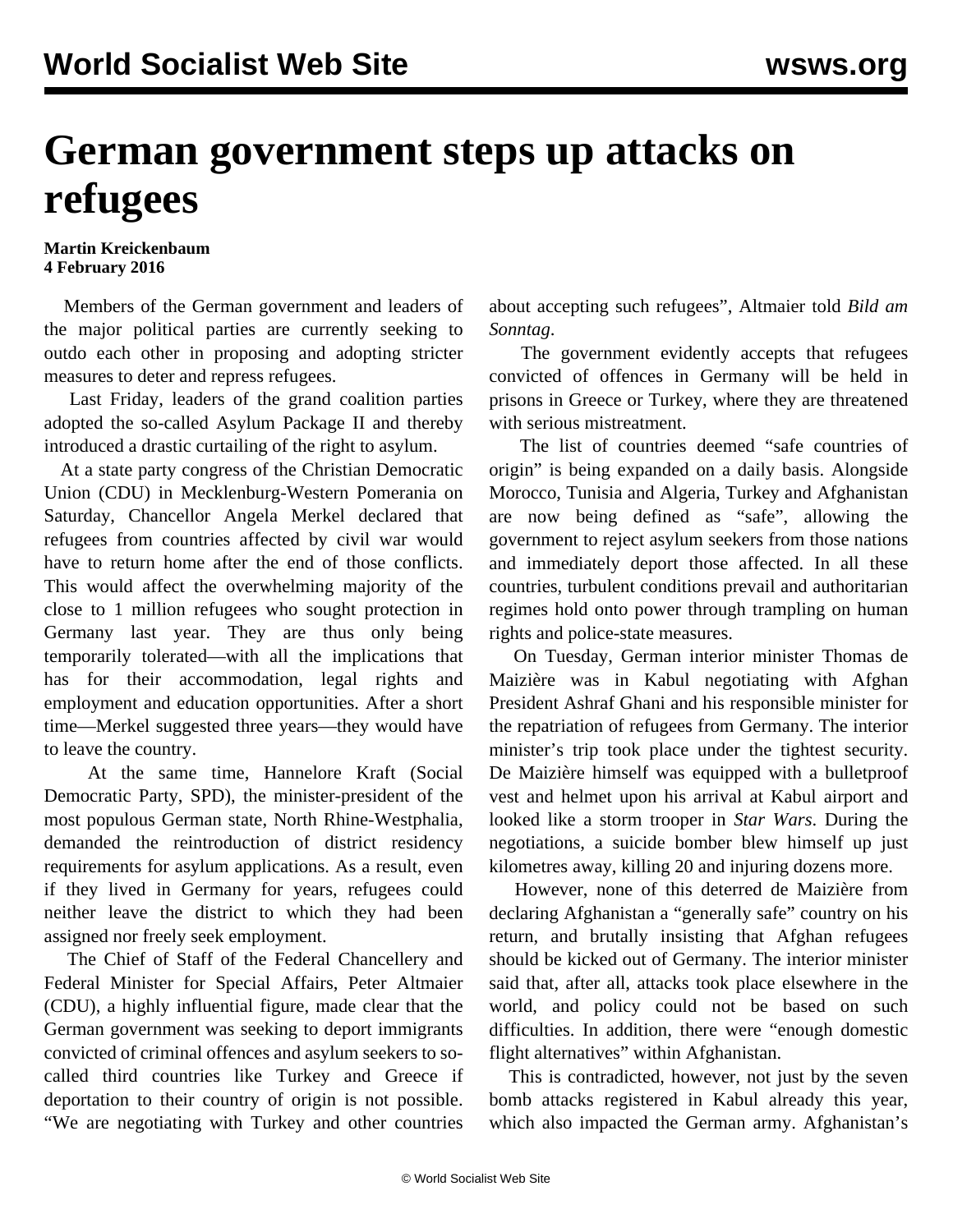## **German government steps up attacks on refugees**

## **Martin Kreickenbaum 4 February 2016**

 Members of the German government and leaders of the major political parties are currently seeking to outdo each other in proposing and adopting stricter measures to deter and repress refugees.

 Last Friday, leaders of the grand coalition parties adopted the so-called Asylum Package II and thereby introduced a drastic curtailing of the right to asylum.

 At a state party congress of the Christian Democratic Union (CDU) in Mecklenburg-Western Pomerania on Saturday, Chancellor Angela Merkel declared that refugees from countries affected by civil war would have to return home after the end of those conflicts. This would affect the overwhelming majority of the close to 1 million refugees who sought protection in Germany last year. They are thus only being temporarily tolerated—with all the implications that has for their accommodation, legal rights and employment and education opportunities. After a short time—Merkel suggested three years—they would have to leave the country.

 At the same time, Hannelore Kraft (Social Democratic Party, SPD), the minister-president of the most populous German state, North Rhine-Westphalia, demanded the reintroduction of district residency requirements for asylum applications. As a result, even if they lived in Germany for years, refugees could neither leave the district to which they had been assigned nor freely seek employment.

 The Chief of Staff of the Federal Chancellery and Federal Minister for Special Affairs, Peter Altmaier (CDU), a highly influential figure, made clear that the German government was seeking to deport immigrants convicted of criminal offences and asylum seekers to socalled third countries like Turkey and Greece if deportation to their country of origin is not possible. "We are negotiating with Turkey and other countries about accepting such refugees", Altmaier told *Bild am Sonntag*.

 The government evidently accepts that refugees convicted of offences in Germany will be held in prisons in Greece or Turkey, where they are threatened with serious mistreatment.

 The list of countries deemed "safe countries of origin" is being expanded on a daily basis. Alongside Morocco, Tunisia and Algeria, Turkey and Afghanistan are now being defined as "safe", allowing the government to reject asylum seekers from those nations and immediately deport those affected. In all these countries, turbulent conditions prevail and authoritarian regimes hold onto power through trampling on human rights and police-state measures.

 On Tuesday, German interior minister Thomas de Maizière was in Kabul negotiating with Afghan President Ashraf Ghani and his responsible minister for the repatriation of refugees from Germany. The interior minister's trip took place under the tightest security. De Maizière himself was equipped with a bulletproof vest and helmet upon his arrival at Kabul airport and looked like a storm trooper in *Star Wars*. During the negotiations, a suicide bomber blew himself up just kilometres away, killing 20 and injuring dozens more.

 However, none of this deterred de Maizière from declaring Afghanistan a "generally safe" country on his return, and brutally insisting that Afghan refugees should be kicked out of Germany. The interior minister said that, after all, attacks took place elsewhere in the world, and policy could not be based on such difficulties. In addition, there were "enough domestic flight alternatives" within Afghanistan.

 This is contradicted, however, not just by the seven bomb attacks registered in Kabul already this year, which also impacted the German army. Afghanistan's